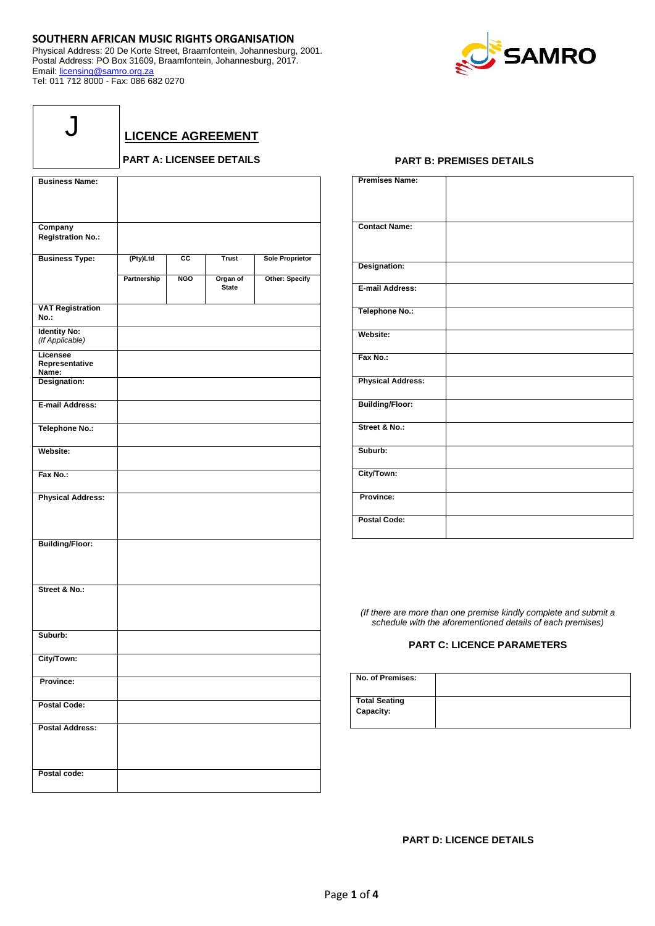## **SOUTHERN AFRICAN MUSIC RIGHTS ORGANISATION**

Physical Address: 20 De Korte Street, Braamfontein, Johannesburg, 2001. Postal Address: PO Box 31609, Braamfontein, Johannesburg, 2017. Email: [licensing@samro.org.za](mailto:licensing@samro.org.za) Tel: 011 712 8000 - Fax: 086 682 0270



**LICENCE AGREEMENT**

## **PART A: LICENSEE DETAILS**

| <b>Business Name:</b>                  |             |                 |                          |                        |
|----------------------------------------|-------------|-----------------|--------------------------|------------------------|
|                                        |             |                 |                          |                        |
|                                        |             |                 |                          |                        |
| Company                                |             |                 |                          |                        |
| <b>Registration No.:</b>               |             |                 |                          |                        |
|                                        |             |                 |                          |                        |
| <b>Business Type:</b>                  | (Pty)Ltd    | $\overline{cc}$ | <b>Trust</b>             | <b>Sole Proprietor</b> |
|                                        | Partnership | <b>NGO</b>      | Organ of<br><b>State</b> | <b>Other: Specify</b>  |
| <b>VAT Registration</b><br>No.:        |             |                 |                          |                        |
| <b>Identity No:</b><br>(If Applicable) |             |                 |                          |                        |
| Licensee<br>Representative<br>Name:    |             |                 |                          |                        |
| Designation:                           |             |                 |                          |                        |
| <b>E-mail Address:</b>                 |             |                 |                          |                        |
| <b>Telephone No.:</b>                  |             |                 |                          |                        |
| Website:                               |             |                 |                          |                        |
| Fax No.:                               |             |                 |                          |                        |
| <b>Physical Address:</b>               |             |                 |                          |                        |
| <b>Building/Floor:</b>                 |             |                 |                          |                        |
| Street & No.:                          |             |                 |                          |                        |
| Suburb:                                |             |                 |                          |                        |
| City/Town:                             |             |                 |                          |                        |
| Province:                              |             |                 |                          |                        |
| <b>Postal Code:</b>                    |             |                 |                          |                        |
| <b>Postal Address:</b>                 |             |                 |                          |                        |
| Postal code:                           |             |                 |                          |                        |

## **PART B: PREMISES DETAILS**

| <b>Premises Name:</b>    |  |
|--------------------------|--|
|                          |  |
| <b>Contact Name:</b>     |  |
|                          |  |
| Designation:             |  |
| E-mail Address:          |  |
| <b>Telephone No.:</b>    |  |
| Website:                 |  |
| Fax No.:                 |  |
| <b>Physical Address:</b> |  |
| <b>Building/Floor:</b>   |  |
| Street & No.:            |  |
| Suburb:                  |  |
| City/Town:               |  |
| Province:                |  |
| <b>Postal Code:</b>      |  |

*(If there are more than one premise kindly complete and submit a schedule with the aforementioned details of each premises)*

## **PART C: LICENCE PARAMETERS**

| No. of Premises:                  |  |
|-----------------------------------|--|
| <b>Total Seating</b><br>Capacity: |  |

**PART D: LICENCE DETAILS**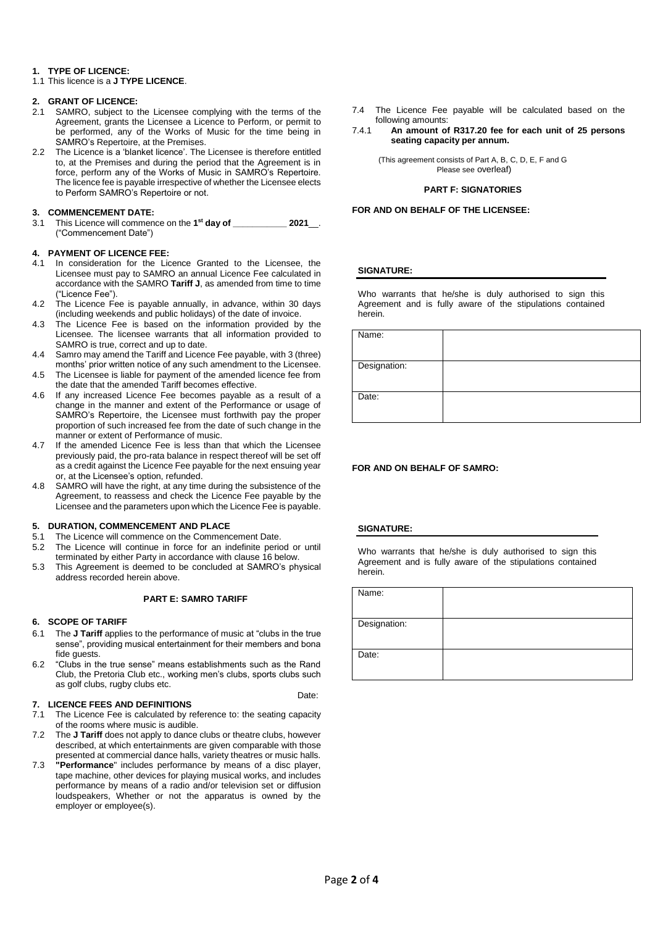## **1. TYPE OF LICENCE:**

1.1 This licence is a **J TYPE LICENCE**.

# **2. GRANT OF LICENCE:**

- SAMRO, subject to the Licensee complying with the terms of the Agreement, grants the Licensee a Licence to Perform, or permit to be performed, any of the Works of Music for the time being in SAMRO's Repertoire, at the Premises.
- 2.2 The Licence is a 'blanket licence'. The Licensee is therefore entitled to, at the Premises and during the period that the Agreement is in force, perform any of the Works of Music in SAMRO's Repertoire. The licence fee is payable irrespective of whether the Licensee elects to Perform SAMRO's Repertoire or not.

## **3. COMMENCEMENT DATE:**

3.1 This Licence will commence on the **1 st day of \_\_\_\_\_\_\_\_\_\_\_ 2021**\_\_. ("Commencement Date")

## **4. PAYMENT OF LICENCE FEE:**

- 4.1 In consideration for the Licence Granted to the Licensee, the Licensee must pay to SAMRO an annual Licence Fee calculated in accordance with the SAMRO **Tariff J**, as amended from time to time ("Licence Fee").
- 4.2 The Licence Fee is payable annually, in advance, within 30 days (including weekends and public holidays) of the date of invoice.
- 4.3 The Licence Fee is based on the information provided by the Licensee. The licensee warrants that all information provided to SAMRO is true, correct and up to date.
- 4.4 Samro may amend the Tariff and Licence Fee payable, with 3 (three) months' prior written notice of any such amendment to the Licensee.
- 4.5 The Licensee is liable for payment of the amended licence fee from the date that the amended Tariff becomes effective.
- 4.6 If any increased Licence Fee becomes payable as a result of a change in the manner and extent of the Performance or usage of SAMRO's Repertoire, the Licensee must forthwith pay the proper proportion of such increased fee from the date of such change in the manner or extent of Performance of music.
- 4.7 If the amended Licence Fee is less than that which the Licensee previously paid, the pro-rata balance in respect thereof will be set off as a credit against the Licence Fee payable for the next ensuing year or, at the Licensee's option, refunded.
- 4.8 SAMRO will have the right, at any time during the subsistence of the Agreement, to reassess and check the Licence Fee payable by the Licensee and the parameters upon which the Licence Fee is payable.

## **5. DURATION, COMMENCEMENT AND PLACE**

- 5.1 The Licence will commence on the Commencement Date.
- 5.2 The Licence will continue in force for an indefinite period or until terminated by either Party in accordance with clause 16 below.
- 5.3 This Agreement is deemed to be concluded at SAMRO's physical address recorded herein above.

## **PART E: SAMRO TARIFF**

## **6. SCOPE OF TARIFF**

- 6.1 The **J Tariff** applies to the performance of music at "clubs in the true sense", providing musical entertainment for their members and bona fide quests.
- 6.2 "Clubs in the true sense" means establishments such as the Rand Club, the Pretoria Club etc., working men's clubs, sports clubs such as golf clubs, rugby clubs etc. Date:

## **7. LICENCE FEES AND DEFINITIONS**

- 7.1 The Licence Fee is calculated by reference to: the seating capacity of the rooms where music is audible.
- 7.2 The **J Tariff** does not apply to dance clubs or theatre clubs, however described, at which entertainments are given comparable with those presented at commercial dance halls, variety theatres or music halls.
- 7.3 **"Performance**" includes performance by means of a disc player, tape machine, other devices for playing musical works, and includes performance by means of a radio and/or television set or diffusion loudspeakers, Whether or not the apparatus is owned by the employer or employee(s).
- 7.4 The Licence Fee payable will be calculated based on the following amounts:
- 7.4.1 **An amount of R317.20 fee for each unit of 25 persons seating capacity per annum.**

(This agreement consists of Part A, B, C, D, E, F and G Please see overleaf)

### **PART F: SIGNATORIES**

**FOR AND ON BEHALF OF THE LICENSEE:** 

### **SIGNATURE:**

Who warrants that he/she is duly authorised to sign this Agreement and is fully aware of the stipulations contained herein.

| Name:        |  |
|--------------|--|
| Designation: |  |
| Date:        |  |

## **FOR AND ON BEHALF OF SAMRO:**

## **SIGNATURE:**

Who warrants that he/she is duly authorised to sign this Agreement and is fully aware of the stipulations contained herein.

| Name:        |  |
|--------------|--|
|              |  |
| Designation: |  |
|              |  |
| Date:        |  |
|              |  |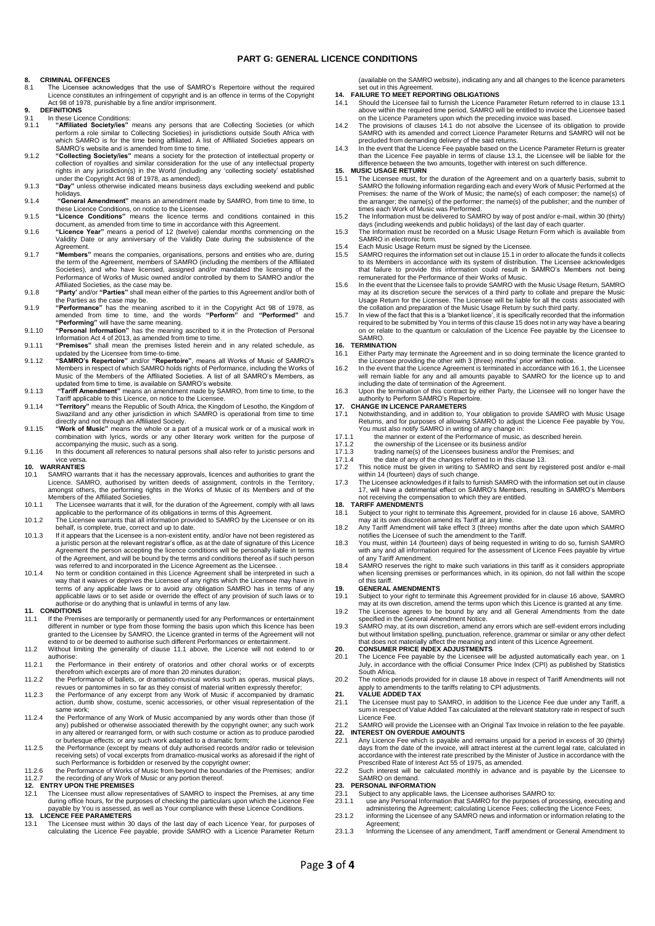### **PART G: GENERAL LICENCE CONDITIONS**

# **8. CRIMINAL OFFENCES**<br>8.1 The Licensee acknow

- The Licensee acknowledges that the use of SAMRO's Repertoire without the required Licence constitutes an infringement of copyright and is an offence in terms of the Copyright Act 98 of 1978, punishable by a fine and/or imprisonment.
- **9. DEFINITIONS**
- 9.1 In these Licence Conditions:<br>9.1. **"Affiliated Society/jes"** 9.1.1 **"Affiliated Society/ies"** means any persons that are Collecting Societies (or which perform a role similar to Collecting Societies) in jurisdictions outside South Africa with which SAMRO is for the time being affiliated. A list of Affiliated Societies appears on SAMRO's website and is amended from time to time.
- 9.1.2 "Collecting Society/les" means a society for the protection of intellectual property or<br>collection of royalties and similar consideration for the use of any intellectual property<br>rights in any jurisdiction(s) in the under the Copyright Act 98 of 1978, as amended).
- 9.1.3 **"Day"** unless otherwise indicated means business days excluding weekend and public
- holidays. 9.1.4 **"General Amendment"** means an amendment made by SAMRO, from time to time, to these Licence Conditions, on notice to the Licensee. 9.1.5 **"Licence Conditions"** means the licence terms and conditions contained in this
- 
- document, as amended from time to time in accordance with this Agreement. 9.1.6 **"Licence Year"** means a period of 12 (twelve) calendar months commencing on the Validity Date or any anniversary of the Validity Date during the subsistence of the Agreement.
- 9.1.7 **"Members"** means the companies, organisations, persons and entities who are, during the term of the Agreement, members of SAMRO (including the members of the Affiliated Societies), and who have licensed, assigned and/or mandated the licensing of the Performance of Works of Music owned and/or controlled by them to SAMRO and/or the Affiliated Societies, as the case may be.
- 9.1.8 **"Party'** and/or **"Parties"** shall mean either of the parties to this Agreement and/or both of the Parties as the case may be.
- 9.1.9 **"Performance"** has the meaning ascribed to it in the Copyright Act 98 of 1978, as amended from time to time, and the words **"Perform"** and **"Performed"** and **"Performing"** will have the same meaning.
- 9.1.10 **"Personal Information"** has the meaning ascribed to it in the Protection of Personal Information Act 4 of 2013, as amended from time to time. 9.1.11 **"Premises"** shall mean the premises listed herein and in any related schedule, as
- 
- updated by the Licensee from time-to-time.<br>9.1.12 "SAMRO's Repertoire" and/or "Repertoire", means all Works of Music of SAMRO's<br>Members in respect of which SAMRO holds rights of Performance, including the Works of<br>Music of
- 9.1.13 **"Tariff Amendment"** means an amendment made by SAMRO, from time to time, to the Tariff applicable to this Licence, on notice to the Licensee.
- 9.1.14 **"Territory"** means the Republic of South Africa, the Kingdom of Lesotho, the Kingdom of Swaziland and any other jurisdiction in which SAMRO is operational from time to time directly and not through an Affiliated Society. 9.1.15 **"Work of Music"** means the whole or a part of a musical work or of a musical work in
- combination with lyrics, words or any other literary work written for the purpose of accompanying the music, such as a song.
- 9.1.16 In this document all references to natural persons shall also refer to juristic persons and vice versa. **10. WARRANTIES**

- 10.1 SAMRO warrants that it has the necessary approvals, licences and authorities to grant the Licence. SAMRO, authorised by written deeds of assignment, controls in the Territory, amongst others, the performing rights in the Works of Music of its Members and of the Members of the Affiliated Societies.
- 10.1.1 The Licensee warrants that it will, for the duration of the Agreement, comply with all laws applicable to the performance of its obligations in terms of this Agreement.
- 10.1.2 The Licensee warrants that all information provided to SAMRO by the Licensee or on its behalf, is complete, true, correct and up to date. 10.1.3 If it appears that the Licensee is a non-existent entity, and/or have not been registered as
- a juristic person at the relevant registrar's office, as at the date of signature of this Licence Agreement the person accepting the licence conditions will be personally liable in terms<br>of the Agreement, and will be bound by the terms and conditions thereof as if such person<br>was referred to and incorporated in the Lic
- 10.1.4 No term or condition contained in this Licence Agreement shall be interpreted in such a way that it waives or deprives the Licensee of any rights which the Licensee may have in terms of any applicable laws or to avoid any obligation SAMRO has in terms of any applicable laws or to set aside or override the effect of any provision of such laws or to authorise or do anything that is unlawful in terms of any law.

#### **11. CONDITIONS**

- 11.1 If the Premises are temporarily or permanently used for any Performances or entertainment different in number or type from those forming the basis upon which this licence has been granted to the Licensee by SAMRO, the Licence granted in terms of the Agreement will not extend to or be deemed to authorise such different Performances or entertainment.
- 11.2 Without limiting the generality of clause 11.1 above, the Licence will not extend to or authorise:
- 11.2.1 the Performance in their entirety of oratorios and other choral works or of excerpts
- therefrom which excerpts are of more than 20 minutes duration; 11.2.2 the Performance of ballets, or dramatico-musical works such as operas, musical plays,
- revues or pantomimes in so far as they consist of material written expressly therefor; 11.2.3 the Performance of any excerpt from any Work of Music if accompanied by dramatic action, dumb show, costume, scenic accessories, or other visual representation of the same work;
- 11.2.4 the Performance of any Work of Music accompanied by any words other than those (if any) published or otherwise associated therewith by the copyright owner; any such work in any altered or rearranged form, or with such costume or action as to produce parodied or burlesque effects; or any such work adapted to a dramatic form;
- 11.2.5 the Performance (except by means of duly authorised records and/or radio or television<br>receiving sets) of vocal excerpts from dramatico-musical works as aforesaid if the right of<br>such Performance is forbidden or res
- 11.2.6 the Performance of Works of Music from beyond the boundaries of the Premises; and/or 11.2.7 the recording of any Work of Music or any portion thereof.

# **12. ENTRY UPON THE PREMISES**<br>12.1 The Licensee must allow repr

11.1 The Licensee must allow representatives of SAMRO to inspect the Premises, at any time during office hours, for the purposes of checking the particulars upon which the Licence Fee payable by You is assessed, as well as Your compliance with these Licence Conditions. **13. LICENCE FEE PARAMETERS**

13.1 The Licensee must within 30 days of the last day of each Licence Year, for purposes of calculating the Licence Fee payable, provide SAMRO with a Licence Parameter Return

(available on the SAMRO website), indicating any and all changes to the licence parameters set out in this Agreement.

- **14. FAILURE TO MEET REPORTING OBLIGATIONS**
- 14.1 Should the Licensee fail to furnish the Licence Parameter Return referred to in clause 13.1 above within the required time period, SAMRO will be entitled to invoice the Licensee based on the Licence Parameters upon which the preceding invoice was based.
- 14.2 The provisions of clauses 14.1 do not absolve the Licensee of its obligation to provide SAMRO with its amended and correct Licence Parameter Returns and SAMRO will not be precluded from demanding delivery of the said returns.
- 14.3 In the event that the Licence Fee payable based on the Licence Parameter Return is greater than the Licence Fee payable in terms of clause 13.1, the Licensee will be liable for the difference between the two amounts, together with interest on such difference. **15. MUSIC USAGE RETURN**

- 15.1 The Licensee must, for the duration of the Agreement and on a quarterly basis, submit to SAMRO the following information regarding each and every Work of Music Performed at the<br>Premises: the name of the Work of Music; the name(s) of each composer; the name(s) of<br>the arranger; the name(s) of the performer; the times each Work of Music was Performed.
- 15.2 The Information must be delivered to SAMRO by way of post and/or e-mail, within 30 (thirty) days (including weekends and public holidays) of the last day of each quarter. 15.3 The Information must be recorded on a Music Usage Return Form which is available from
- SAMRO in electronic form.
- 15.4 Each Music Usage Return must be signed by the Licensee.
- 15.5 SAMRO requires the information set out in clause 15.1 in order to allocate the funds it collects to its Members in accordance with its system of distribution. The Licensee acknowledges that failure to provide this information could result in SAMRO's Members not being
- remunerated for the Performance of their Works of Music. 15.6 In the event that the Licensee fails to provide SAMRO with the Music Usage Return, SAMRO may at its discretion secure the services of a third party to collate and prepare the Music Usage Return for the Licensee. The Licensee will be liable for all the costs associated with
- the collation and preparation of the Music Usage Return by such third party. 15.7 In view of the fact that this is a 'blanket licence', it is specifically recorded that the information required to be submitted by You in terms of this clause 15 does not in any way have a bearing on or relate to the quantum or calculation of the Licence Fee payable by the Licensee to SAMRO.

# **16. TERMINATION**

- 16.1 Either Party may terminate the Agreement and in so doing terminate the licence granted to the Licensee providing the other with 3 (three) months' prior written notice.
- 16.2 In the event that the Licence Agreement is terminated in accordance with 16.1, the Licensee will remain liable for any and all amounts payable to SAMRO for the licence up to and including the date of termination of the Agreement.
- 16.3 Upon the termination of this contract by either Party, the Licensee will no longer have the authority to Perform SAMRO's Repertoire.

# **17. CHANGE IN LICENCE PARAMETERS**

- 17.1 Notwithstanding, and in addition to, Your obligation to provide SAMRO with Music Usage<br>Returns, and for purposes of allowing SAMRO to adjust the Licence Fee payable by You,<br>You must also notify SAMRO in writing of any
- 
- 17.1.1 the manner or extent of the Performance of music, as described herein.<br>17.1.2 the ownership of the Licensee or its business and/or 17.1.2 the ownership of the Licensee or its business and/or<br>17.1.3 trading name(s) of the Licensees business and/or the
- 17.1.3 trading name(s) of the Licensees business and/or the Premises; and<br>17.1.4 the date of any of the changes referred to in this clause 13.
- 17.1.4 the date of any of the changes referred to in this clause 13.<br>17.2 This notice must be given in writing to SAMRO and sent by registered post and/or e-mail
- within 14 (fourteen) days of such change. 17.3 The Licensee acknowledges if it fails to furnish SAMRO with the information set out in clause
- 17, will have a detrimental effect on SAMRO's Members, resulting in SAMRO's Members not receiving the compensation to which they are entitled.

### **18. TARIFF AMENDMENTS**

- 18.1 Subject to your right to terminate this Agreement, provided for in clause 16 above, SAMRO may at its own discretion amend its Tariff at any time. 18.2 Any Tariff Amendment will take effect 3 (three) months after the date upon which SAMRO
- notifies the Licensee of such the amendment to the Tariff.
- 18.3 You must, within 14 (fourteen) days of being requested in writing to do so, furnish SAMRO with any and all information required for the assessment of Licence Fees payable by virtue
- of any Tariff Amendment. 18.4 SAMRO reserves the right to make such variations in this tariff as it considers appropriate when licensing premises or performances which, in its opinion, do not fall within the scope of this tariff.

# **19. GENERAL AMENDMENTS**

19.1 Subject to your right to terminate this Agreement provided for in clause 16 above, SAMRO

- may at its own discretion, amend the terms upon which this Licence is granted at any time. 19.2 The Licensee agrees to be bound by any and all General Amendments from the date specified in the General Amendment Notice.
- 19.3 SAMRO may, at its own discretion, amend any errors which are self-evident errors including but without limitation spelling, punctuation, reference, grammar or similar or any other defect<br>that does not materially affect the meaning and intent of this Licence Agreement.<br>20. CONSUMER PRICE INDEX ADJUSTMENTS

- 20.1 The Licence Fee payable by the Licensee will be adjusted automatically each year, on 1 July, in accordance with the official Consumer Price Index (CPI) as published by Statistics South Africa.
- 20.2 The notice periods provided for in clause 18 above in respect of Tariff Amendments will not apply to amendments to the tariffs relating to CPI adjustments. **21. VALUE ADDED TAX**

## 21.1 The Licensee must pay to SAMRO, in addition to the Licence Fee due under any Tariff, a sum in respect of Value Added Tax calculated at the relevant statutory rate in respect of such Licence Fee.

- 21.2 SAMRO will provide the Licensee with an Original Tax Invoice in relation to the fee payable. **22. INTEREST ON OVERDUE AMOUNTS**
- 22.1 Any Licence Fee which is payable and remains unpaid for a period in excess of 30 (thirty) days from the date of the invoice, will attract interest at the current legal rate, calculated in accordance with the interest rate prescribed by the Minister of Justice in accordance with the Prescribed Rate of Interest Act 55 of 1975, as amended.
- 22.2 Such interest will be calculated monthly in advance and is payable by the Licensee to SAMRO on demand. **23. PERSONAL INFORMATION**

- 23.1 Subject to any applicable laws, the Licensee authorises SAMRO to:<br>23.1.1 use any Personal Information that SAMRO for the purposes of processing, executing and<br>administering the Agreement; calculating Licence Fees; col
- 23.1.2 informing the Licensee of any SAMRO news and information or information relating to the Agreement;
- 23.1.3 Informing the Licensee of any amendment, Tariff amendment or General Amendment to